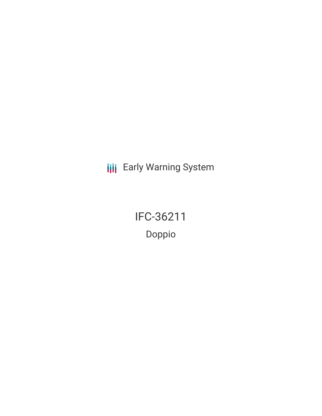**III** Early Warning System

IFC-36211 Doppio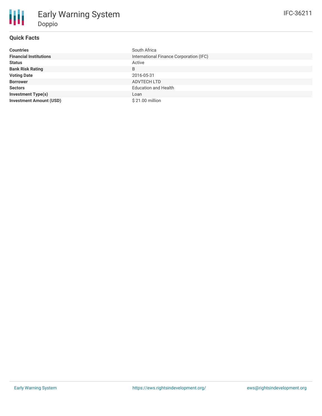## **Quick Facts**

| <b>Countries</b>               | South Africa                            |
|--------------------------------|-----------------------------------------|
| <b>Financial Institutions</b>  | International Finance Corporation (IFC) |
| <b>Status</b>                  | Active                                  |
| <b>Bank Risk Rating</b>        | B                                       |
| <b>Voting Date</b>             | 2016-05-31                              |
| <b>Borrower</b>                | ADVTECH LTD                             |
| <b>Sectors</b>                 | <b>Education and Health</b>             |
| <b>Investment Type(s)</b>      | Loan                                    |
| <b>Investment Amount (USD)</b> | \$21.00 million                         |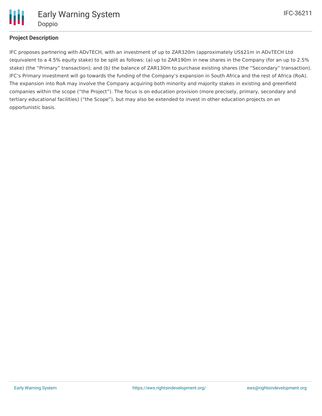

# **Project Description**

IFC proposes partnering with ADvTECH, with an investment of up to ZAR320m (approximately US\$21m in ADvTECH Ltd (equivalent to a 4.5% equity stake) to be split as follows: (a) up to ZAR190m in new shares in the Company (for an up to 2.5% stake) (the "Primary" transaction); and (b) the balance of ZAR130m to purchase existing shares (the "Secondary" transaction). IFC's Primary investment will go towards the funding of the Company's expansion in South Africa and the rest of Africa (RoA). The expansion into RoA may involve the Company acquiring both minority and majority stakes in existing and greenfield companies within the scope ("the Project"). The focus is on education provision (more precisely, primary, secondary and tertiary educational facilities) ("the Scope"), but may also be extended to invest in other education projects on an opportunistic basis.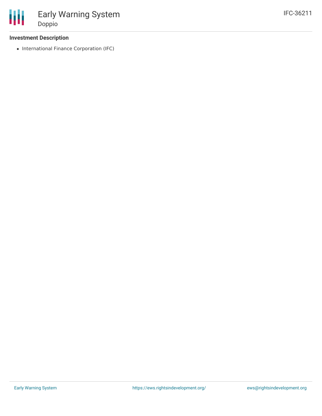## **Investment Description**

• International Finance Corporation (IFC)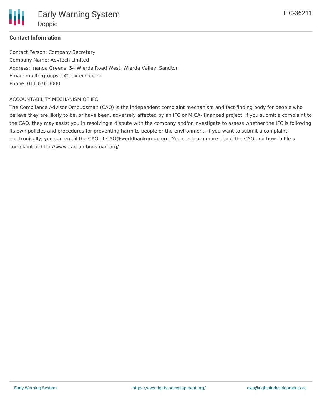

## **Contact Information**

Contact Person: Company Secretary Company Name: Advtech Limited Address: Inanda Greens, 54 Wierda Road West, Wierda Valley, Sandton Email: mailto:groupsec@advtech.co.za Phone: 011 676 8000

#### ACCOUNTABILITY MECHANISM OF IFC

The Compliance Advisor Ombudsman (CAO) is the independent complaint mechanism and fact-finding body for people who believe they are likely to be, or have been, adversely affected by an IFC or MIGA- financed project. If you submit a complaint to the CAO, they may assist you in resolving a dispute with the company and/or investigate to assess whether the IFC is following its own policies and procedures for preventing harm to people or the environment. If you want to submit a complaint electronically, you can email the CAO at CAO@worldbankgroup.org. You can learn more about the CAO and how to file a complaint at http://www.cao-ombudsman.org/